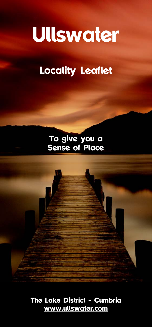# **Ullswater**

# Locality Leaflet



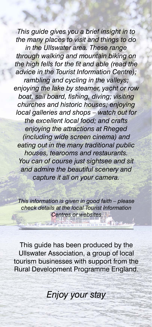*This guide gives you a brief insight in to the many places to visit and things to do in the Ullswater area. These range through walking and mountain biking on the high fells for the fit and able (read the advice in the Tourist Information Centre); rambling and cycling in the valleys; enjoying the lake by steamer, yacht or row boat, sail board, fishing, diving; visiting churches and historic houses; enjoying local galleries and shops – watch out for the excellent local food; and crafts enjoying the attractions at Rheged (including wide screen cinema) and eating out in the many traditional public houses, tearooms and restaurants. You can of course just sightsee and sit and admire the beautiful scenery and capture it all on your camera.*

*This information is given in good faith – please check details at the local Tourist Information Centres or websites*

 $\frac{1}{\sqrt{2}}$ 

and a second in

 $4.114$ 

This guide has been produced by the Ullswater Association, a group of local tourism businesses with support from the Rural Development Programme England.

*Enjoy your stay*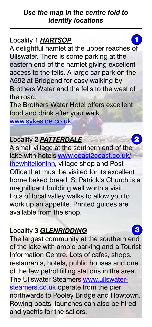#### *Use the map in the centre fold to identify locations*

#### Locality 1 *HARTSOP*

A delightful hamlet at the upper reaches of Ullswater. There is some parking at the eastern end of the hamlet giving excellent access to the fells. A large car park on the A592 at Bridgend for easy walking by Brothers Water and the fells to the west of the road. 1

The Brothers Water Hotel offers excellent food and drink after your walk

www.sykeside.co.uk

# Locality 2 *PATTERDALE*

A small village at the southern end of the lake with hotels www.coast2coast.co.uk/ thewhitelioninn, village shop and Post Office that must be visited for its excellent home baked bread. St Patrick's Church is a magnificent building well worth a visit. Lots of local valley walks to allow you to work up an appetite. Printed guides are available from the shop. 2

# Locality 3 *GLENRIDDING*

The largest community at the southern end of the lake with ample parking and a Tourist Information Centre. Lots of cafes, shops, restaurants, hotels, public houses and one of the few petrol filling stations in the area. The Ullswater Steamers www.ullswatersteamers.co.uk operate from the pier northwards to Pooley Bridge and Howtown. Rowing boats, launches can also be hired and yachts for the sailors.

3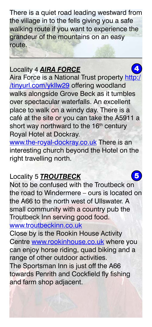There is a quiet road leading westward from the village in to the fells giving you a safe walking route if you want to experience the grandeur of the mountains on an easy route.

#### Locality 4 *AIRA FORCE*

Aira Force is a National Trust property http:/ /tinyurl.com/ykllw29 offering woodland walks alongside Grove Beck as it tumbles over spectacular waterfalls. An excellent place to walk on a windy day. There is a café at the site or you can take the A5911 a short way northward to the 16<sup>th</sup> century Royal Hotel at Dockray.

www.the-royal-dockray.co.uk There is an interesting church beyond the Hotel on the right travelling north.

#### Locality 5 *TROUTBECK*

Not to be confused with the Troutbeck on the road to Windermere – ours is located on the A66 to the north west of Ullswater. A small community with a country pub the Troutbeck Inn serving good food.

5

4

#### www.troutbeckinn.co.uk

Close by is the Rookin House Activity Centre www.rookinhouse.co.uk where you can enjoy horse riding, quad biking and a range of other outdoor activities. The Sportsman Inn is just off the A66 towards Penrith and Cockfield fly fishing and farm shop adjacent.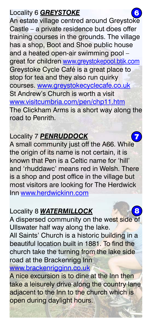# Locality 6 *GREYSTOKE*

An estate village centred around Greystoke Castle – a private residence but does offer training courses in the grounds. The village has a shop, Boot and Shoe public house and a heated open-air swimming pool – great for children www.greystokepool.btik.com Greystoke Cycle Café is a great place to stop for tea and they also run quirky courses. www.greystokecyclecafe.co.uk St Andrew's Church is worth a visit www.visitcumbria.com/pen/chp11.htm The Clickham Arms is a short way along the road to Penrith. 6

Locality 7 *PENRUDDOCK*

A small community just off the A66. While the origin of its name is not certain, it is known that Pen is a Celtic name for 'hill' and 'rhuddawc' means red in Welsh. There is a shop and post office in the village but most visitors are looking for The Herdwick Inn www.herdwickinn.com 7

### Locality 8 *WATERMILLOCK*

A dispersed community on the west side of Ullswater half way along the lake.

8

All Saints' Church is a historic building in a beautiful location built in 1881. To find the church take the turning from the lake side road at the Brackenrigg Inn www.brackenrigginn.co.uk

A nice excursion is to dine at the Inn then take a leisurely drive along the country lane adjacent to the Inn to the church which is open during daylight hours.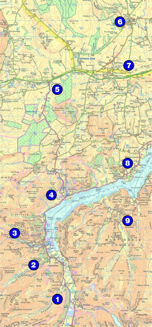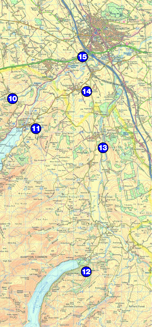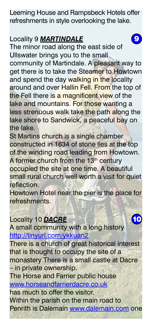Leeming House and Rampsbeck Hotels offer refreshments in style overlooking the lake.

9

#### Locality 9 *MARTINDALE*

The minor road along the east side of Ullswater brings you to the small community of Martindale. A pleasant way to get there is to take the Steamer to Howtown and spend the day walking in the locality around and over Hallin Fell. From the top of the Fell there is a magnificent view of the lake and mountains. For those wanting a less strenuous walk take the path along the lake shore to Sandwick, a peaceful bay on the lake.

St Martins church is a single chamber constructed in 1634 of stone lies at the top of the winding road leading from Howtown. A former church from the 13<sup>th</sup> century occupied the site at one time. A beautiful small rural church well worth a visit for quiet reflection.

Howtown Hotel near the pier is the place for refreshments.

Locality 10 *DACRE* A small community with a long history http://tinyurl.com/ykkuan2 There is a church of great historical interest that is thought to occupy the site of a monastery There is a small castle at Dacre – in private ownership. The Horse and Farrier public house www.horseandfarrierdacre.co.uk has much to offer the visitor. Within the parish on the main road to Penrith is Dalemain www.dalemain.com one 10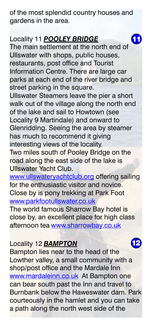of the most splendid country houses and gardens in the area.

# Locality 11 *POOLEY BRIDGE*

The main settlement at the north end of Ullswater with shops, public houses, restaurants, post office and Tourist Information Centre. There are large car parks at each end of the river bridge and street parking in the square. **11** 

Ullswater Steamers leave the pier a short walk out of the village along the north end of the lake and sail to Howtown (see Locality 9 Martindale) and onward to Glenridding. Seeing the area by steamer has much to recommend it giving interesting views of the locality. Two miles south of Pooley Bridge on the road along the east side of the lake is Ullswater Yacht Club.

www.ullswateryachtclub.org offering sailing for the enthusiastic visitor and novice. Close by is pony trekking at Park Foot www.parkfootullswater.co.uk

The world famous Sharrow Bay hotel is close by, an excellent place for high class afternoon tea www.sharrowbay.co.uk

### Locality 12 *BAMPTON*

Bampton lies near to the head of the Lowther valley, a small community with a shop/post office and the Mardale Inn www.mardaleinn.co.uk At Bampton one can bear south past the Inn and travel to Burnbank below the Haweswater dam. Park courteously in the hamlet and you can take a path along the north west side of the

12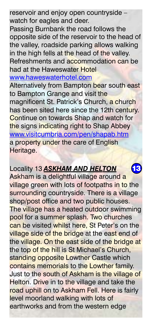reservoir and enjoy open countryside – watch for eagles and deer.

Passing Burnbank the road follows the opposite side of the reservoir to the head of the valley, roadside parking allows walking in the high fells at the head of the valley. Refreshments and accommodation can be had at the Haweswater Hotel

#### www.haweswaterhotel.com

Alternatively from Bampton bear south east to Bampton Grange and visit the magnificent St. Patrick's Church, a church has been sited here since the 12th century. Continue on towards Shap and watch for the signs indicating right to Shap Abbey www.visitcumbria.com/pen/shapab.htm a property under the care of English Heritage.

Locality 13 *ASKHAM AND HELTON* Askham is a delightful village around a village green with lots of footpaths in to the surrounding countryside. There is a village shop/post office and two public houses. The village has a heated outdoor swimming pool for a summer splash. Two churches can be visited whilst here, St Peter's on the village side of the bridge at the east end of the village. On the east side of the bridge at the top of the hill is St Michael's Church, standing opposite Lowther Castle which contains memorials to the Lowther family. Just to the south of Askham is the village of Helton. Drive in to the village and take the road uphill on to Askham Fell. Here is fairly level moorland walking with lots of earthworks and from the western edge 13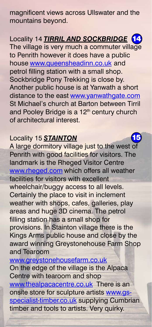magnificent views across Ullswater and the mountains beyond.

Locality 14 *TIRRIL AND SOCKBRIDGE* (14

The village is very much a commuter village to Penrith however it does have a public house www.queensheadinn.co.uk and petrol filling station with a small shop. Sockbridge Pony Trekking is close by. Another public house is at Yanwath a short distance to the east www.yanwathgate.com St Michael's church at Barton between Tirril and Pooley Bridge is a 12<sup>th</sup> century church of architectural interest.

15

#### Locality 15 *STAINTON*

A large dormitory village just to the west of Penrith with good facilities for visitors. The landmark is the Rheged Visitor Centre www.rheged.com which offers all weather facilities for visitors with excellent wheelchair/buggy access to all levels. Certainly the place to visit in inclement weather with shops, cafes, galleries, play areas and huge 3D cinema. The petrol filling station has a small shop for provisions. In Stainton village there is the Kings Arms public house and close by the award winning Greystonehouse Farm Shop and Tearoom

#### www.greystonehousefarm.co.uk

On the edge of the village is the Alpaca Centre with tearoom and shop www.thealpacacentre.co.uk There is an onsite store for sculpture artists www.gsspecialist-timber.co.uk supplying Cumbrian timber and tools to artists. Very quirky.